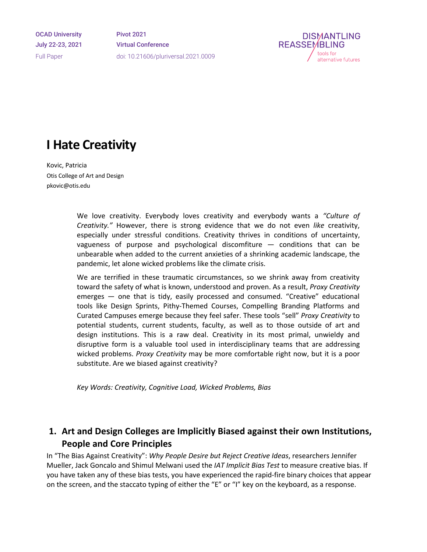OCAD University July 22-23, 2021 Full Paper

Pivot 2021 Virtual Conference doi: 10.21606/pluriversal.2021.0009



# **I Hate Creativity**

Kovic, Patricia Otis College of Art and Design pkovic@otis.edu

> We love creativity. Everybody loves creativity and everybody wants a *"Culture of Creativity."* However, there is strong evidence that we do not even *like* creativity, especially under stressful conditions. Creativity thrives in conditions of uncertainty, vagueness of purpose and psychological discomfiture — conditions that can be unbearable when added to the current anxieties of a shrinking academic landscape, the pandemic, let alone wicked problems like the climate crisis.

> We are terrified in these traumatic circumstances, so we shrink away from creativity toward the safety of what is known, understood and proven. As a result, *Proxy Creativity* emerges — one that is tidy, easily processed and consumed. "Creative" educational tools like Design Sprints, Pithy-Themed Courses, Compelling Branding Platforms and Curated Campuses emerge because they feel safer. These tools "sell" *Proxy Creativity* to potential students, current students, faculty, as well as to those outside of art and design institutions. This is a raw deal. Creativity in its most primal, unwieldy and disruptive form is a valuable tool used in interdisciplinary teams that are addressing wicked problems. *Proxy Creativity* may be more comfortable right now, but it is a poor substitute. Are we biased against creativity?

*Key Words: Creativity, Cognitive Load, Wicked Problems, Bias* 

## **1. Art and Design Colleges are Implicitly Biased against their own Institutions, People and Core Principles**

In "The Bias Against Creativity": *Why People Desire but Reject Creative Ideas*, researchers Jennifer Mueller, Jack Goncalo and Shimul Melwani used the *IAT Implicit Bias Test* to measure creative bias. If you have taken any of these bias tests, you have experienced the rapid-fire binary choices that appear on the screen, and the staccato typing of either the "E" or "I" key on the keyboard, as a response.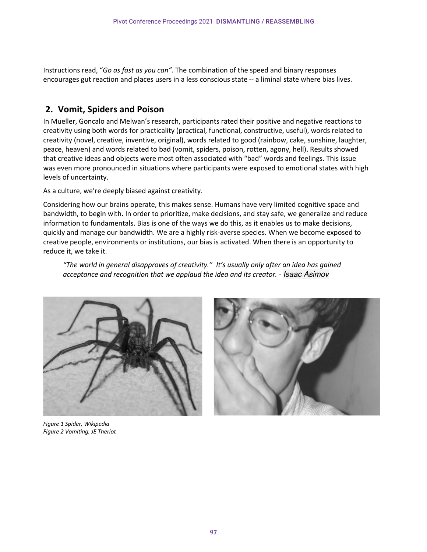Instructions read, "*Go as fast as you can".* The combination of the speed and binary responses encourages gut reaction and places users in a less conscious state -- a liminal state where bias lives.

### **2. Vomit, Spiders and Poison**

In Mueller, Goncalo and Melwan's research, participants rated their positive and negative reactions to creativity using both words for practicality (practical, functional, constructive, useful), words related to creativity (novel, creative, inventive, original), words related to good (rainbow, cake, sunshine, laughter, peace, heaven) and words related to bad (vomit, spiders, poison, rotten, agony, hell). Results showed that creative ideas and objects were most often associated with "bad" words and feelings. This issue was even more pronounced in situations where participants were exposed to emotional states with high levels of uncertainty.

As a culture, we're deeply biased against creativity.

Considering how our brains operate, this makes sense. Humans have very limited cognitive space and bandwidth, to begin with. In order to prioritize, make decisions, and stay safe, we generalize and reduce information to fundamentals. Bias is one of the ways we do this, as it enables us to make decisions, quickly and manage our bandwidth. We are a highly risk-averse species. When we become exposed to creative people, environments or institutions, our bias is activated. When there is an opportunity to reduce it, we take it.

*"The world in general disapproves of creativity." It's usually only after an idea has gained acceptance and recognition that we applaud the idea and its creator. - Isaac Asimov*





*Figure 1 Spider, Wikipedia Figure 2 Vomiting, JE Theriot*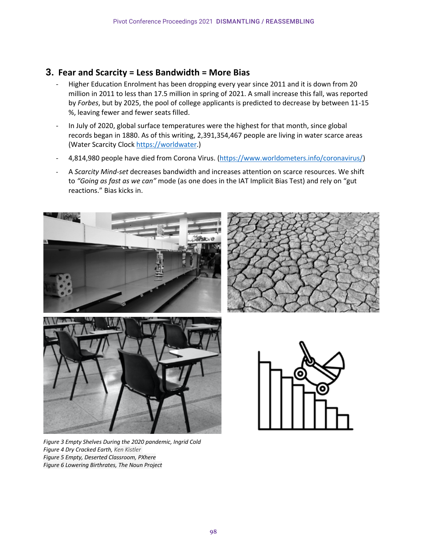### **3. Fear and Scarcity = Less Bandwidth = More Bias**

- Higher Education Enrolment has been dropping every year since 2011 and it is down from 20 million in 2011 to less than 17.5 million in spring of 2021. A small increase this fall, was reported by *Forbes*, but by 2025, the pool of college applicants is predicted to decrease by between 11-15 %, leaving fewer and fewer seats filled.
- In July of 2020, global surface temperatures were the highest for that month, since global records began in 1880. As of this writing, 2,391,354,467 people are living in water scarce areas (Water Scarcity Clock https://worldwater.)
- 4,814,980 people have died from Corona Virus. (https://www.worldometers.info/coronavirus/)
- A *Scarcity Mind-set* decreases bandwidth and increases attention on scarce resources. We shift to *"Going as fast as we can"* mode (as one does in the IAT Implicit Bias Test) and rely on "gut reactions." Bias kicks in.









*Figure 3 Empty Shelves During the 2020 pandemic, Ingrid Cold Figure 4 Dry Cracked Earth, Ken Kistler Figure 5 Empty, Deserted Classroom, PXhere Figure 6 Lowering Birthrates, The Noun Project*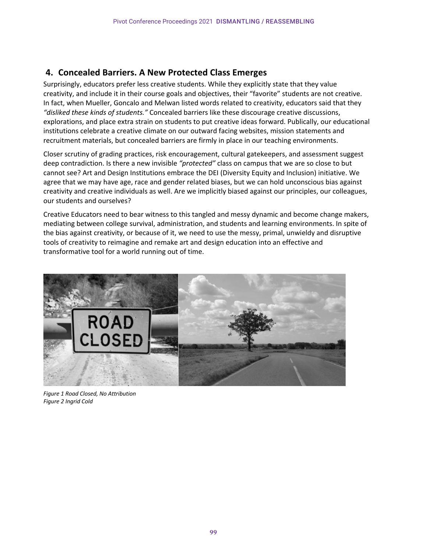## **4. Concealed Barriers. A New Protected Class Emerges**

Surprisingly, educators prefer less creative students. While they explicitly state that they value creativity, and include it in their course goals and objectives, their "favorite" students are not creative. In fact, when Mueller, Goncalo and Melwan listed words related to creativity, educators said that they *"disliked these kinds of students."* Concealed barriers like these discourage creative discussions, explorations, and place extra strain on students to put creative ideas forward. Publically, our educational institutions celebrate a creative climate on our outward facing websites, mission statements and recruitment materials, but concealed barriers are firmly in place in our teaching environments.

Closer scrutiny of grading practices, risk encouragement, cultural gatekeepers, and assessment suggest deep contradiction. Is there a new invisible *"protected"* class on campus that we are so close to but cannot see? Art and Design Institutions embrace the DEI (Diversity Equity and Inclusion) initiative. We agree that we may have age, race and gender related biases, but we can hold unconscious bias against creativity and creative individuals as well. Are we implicitly biased against our principles, our colleagues, our students and ourselves?

Creative Educators need to bear witness to this tangled and messy dynamic and become change makers, mediating between college survival, administration, and students and learning environments. In spite of the bias against creativity, or because of it, we need to use the messy, primal, unwieldy and disruptive tools of creativity to reimagine and remake art and design education into an effective and transformative tool for a world running out of time.



*Figure 1 Road Closed, No Attribution Figure 2 Ingrid Cold*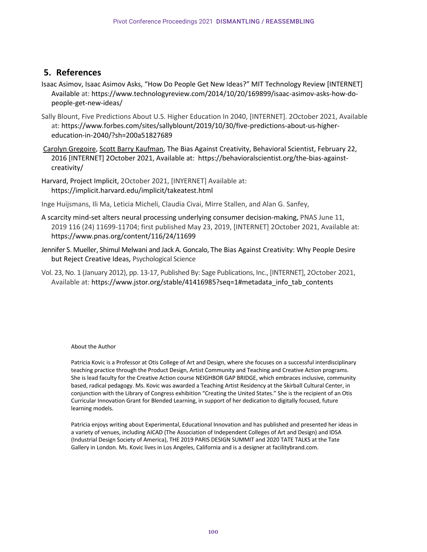### **5. References**

- Isaac Asimov, Isaac Asimov Asks, "How Do People Get New Ideas?" MIT Technology Review [INTERNET] Available at: https://www.technologyreview.com/2014/10/20/169899/isaac-asimov-asks-how-dopeople-get-new-ideas/
- Sally Blount, Five Predictions About U.S. Higher Education In 2040, [INTERNET]. 2October 2021, Available at: https://www.forbes.com/sites/sallyblount/2019/10/30/five-predictions-about-us-highereducation-in-2040/?sh=200a51827689
- Carolyn Gregoire, Scott Barry Kaufman, The Bias Against Creativity, Behavioral Scientist, February 22, 2016 [INTERNET] 2October 2021, Available at: https://behavioralscientist.org/the-bias-againstcreativity/
- Harvard, Project Implicit, 2October 2021, [INYERNET] Available at: https://implicit.harvard.edu/implicit/takeatest.html

Inge Huijsmans, Ili Ma, Leticia Micheli, Claudia Civai, Mirre Stallen, and Alan G. Sanfey,

- A scarcity mind-set alters neural processing underlying consumer decision-making, PNAS June 11, 2019 116 (24) 11699-11704; first published May 23, 2019, [INTERNET] 2October 2021, Available at: https://www.pnas.org/content/116/24/11699
- Jennifer S. Mueller, Shimul Melwani and Jack A. Goncalo, The Bias Against Creativity: Why People Desire but Reject Creative Ideas, Psychological Science
- Vol. 23, No. 1 (January 2012), pp. 13-17, Published By: Sage Publications, Inc., [INTERNET], 2October 2021, Available at: https://www.jstor.org/stable/41416985?seq=1#metadata\_info\_tab\_contents

#### About the Author

Patricia Kovic is a Professor at Otis College of Art and Design, where she focuses on a successful interdisciplinary teaching practice through the Product Design, Artist Community and Teaching and Creative Action programs. She is lead faculty for the Creative Action course NEIGHBOR GAP BRIDGE, which embraces inclusive, community based, radical pedagogy. Ms. Kovic was awarded a Teaching Artist Residency at the Skirball Cultural Center, in conjunction with the Library of Congress exhibition "Creating the United States." She is the recipient of an Otis Curricular Innovation Grant for Blended Learning, in support of her dedication to digitally focused, future learning models.

Patricia enjoys writing about Experimental, Educational Innovation and has published and presented her ideas in a variety of venues, including AICAD (The Association of Independent Colleges of Art and Design) and IDSA (Industrial Design Society of America), THE 2019 PARIS DESIGN SUMMIT and 2020 TATE TALKS at the Tate Gallery in London. Ms. Kovic lives in Los Angeles, California and is a designer at facilitybrand.com.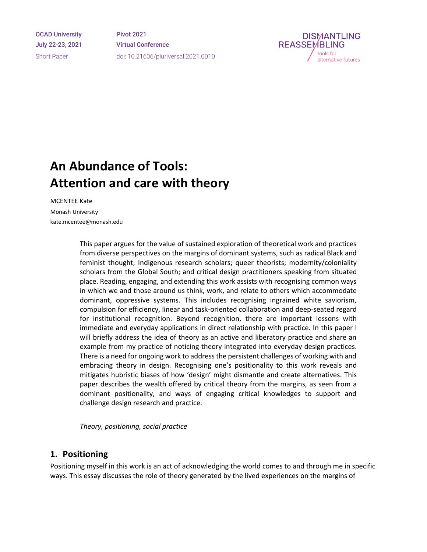OCAD University July 22-23, 2021 Short Paper

Pivot 2021 Virtual Conference doi: 10.21606/pluriversal.2021.0010



# **An Abundance of Tools: Attention and care with theory**

MCENTEE Kate Monash University kate.mcentee@monash.edu

> This paper argues for the value of sustained exploration of theoretical work and practices from diverse perspectives on the margins of dominant systems, such as radical Black and feminist thought; Indigenous research scholars; queer theorists; modernity/coloniality scholars from the Global South; and critical design practitioners speaking from situated place. Reading, engaging, and extending this work assists with recognising common ways in which we and those around us think, work, and relate to others which accommodate dominant, oppressive systems. This includes recognising ingrained white saviorism, compulsion for efficiency, linear and task-oriented collaboration and deep-seated regard for institutional recognition. Beyond recognition, there are important lessons with immediate and everyday applications in direct relationship with practice. In this paper I will briefly address the idea of theory as an active and liberatory practice and share an example from my practice of noticing theory integrated into everyday design practices. There is a need for ongoing work to address the persistent challenges of working with and embracing theory in design. Recognising one's positionality to this work reveals and mitigates hubristic biases of how 'design' might dismantle and create alternatives. This paper describes the wealth offered by critical theory from the margins, as seen from a dominant positionality, and ways of engaging critical knowledges to support and challenge design research and practice.

*Theory, positioning, social practice*

### **1. Positioning**

Positioning myself in this work is an act of acknowledging the world comes to and through me in specific ways. This essay discusses the role of theory generated by the lived experiences on the margins of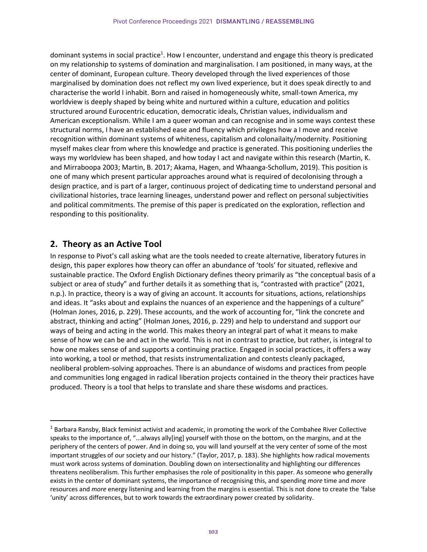dominant systems in social practice<sup>1</sup>. How I encounter, understand and engage this theory is predicated on my relationship to systems of domination and marginalisation. I am positioned, in many ways, at the center of dominant, European culture. Theory developed through the lived experiences of those marginalised by domination does not reflect my own lived experience, but it does speak directly to and characterise the world I inhabit. Born and raised in homogeneously white, small-town America, my worldview is deeply shaped by being white and nurtured within a culture, education and politics structured around Eurocentric education, democratic ideals, Christian values, individualism and American exceptionalism. While I am a queer woman and can recognise and in some ways contest these structural norms, I have an established ease and fluency which privileges how a I move and receive recognition within dominant systems of whiteness, capitalism and colonailaity/modernity. Positioning myself makes clear from where this knowledge and practice is generated. This positioning underlies the ways my worldview has been shaped, and how today I act and navigate within this research (Martin, K. and Mirraboopa 2003; Martin, B. 2017; Akama, Hagen, and Whaanga-Schollum, 2019). This position is one of many which present particular approaches around what is required of decolonising through a design practice, and is part of a larger, continuous project of dedicating time to understand personal and civilizational histories, trace learning lineages, understand power and reflect on personal subjectivities and political commitments. The premise of this paper is predicated on the exploration, reflection and responding to this positionality.

### **2. Theory as an Active Tool**

In response to Pivot's call asking what are the tools needed to create alternative, liberatory futures in design, this paper explores how theory can offer an abundance of 'tools' for situated, reflexive and sustainable practice. The Oxford English Dictionary defines theory primarily as "the conceptual basis of a subject or area of study" and further details it as something that is, "contrasted with practice" (2021, n.p.). In practice, theory is a way of giving an account. It accounts for situations, actions, relationships and ideas. It "asks about and explains the nuances of an experience and the happenings of a culture" (Holman Jones, 2016, p. 229). These accounts, and the work of accounting for, "link the concrete and abstract, thinking and acting" (Holman Jones, 2016, p. 229) and help to understand and support our ways of being and acting in the world. This makes theory an integral part of what it means to make sense of how we can be and act in the world. This is not in contrast to practice, but rather, is integral to how one makes sense of and supports a continuing practice. Engaged in social practices, it offers a way into working, a tool or method, that resists instrumentalization and contests cleanly packaged, neoliberal problem-solving approaches. There is an abundance of wisdoms and practices from people and communities long engaged in radical liberation projects contained in the theory their practices have produced. Theory is a tool that helps to translate and share these wisdoms and practices.

<sup>&</sup>lt;sup>1</sup> Barbara Ransby, Black feminist activist and academic, in promoting the work of the Combahee River Collective speaks to the importance of, "...always ally[ing] yourself with those on the bottom, on the margins, and at the periphery of the centers of power. And in doing so, you will land yourself at the very center of some of the most important struggles of our society and our history." (Taylor, 2017, p. 183). She highlights how radical movements must work across systems of domination. Doubling down on intersectionality and highlighting our differences threatens neoliberalism. This further emphasises the role of positionality in this paper. As someone who generally exists in the center of dominant systems, the importance of recognising this, and spending *more* time and *more*  resources and *more* energy listening and learning from the margins is essential. This is not done to create the 'false 'unity' across differences, but to work towards the extraordinary power created by solidarity.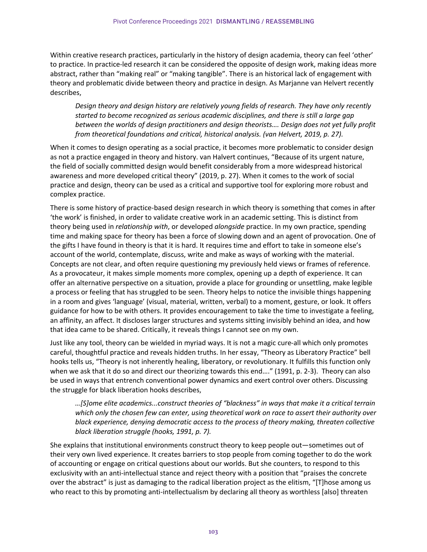Within creative research practices, particularly in the history of design academia, theory can feel 'other' to practice. In practice-led research it can be considered the opposite of design work, making ideas more abstract, rather than "making real" or "making tangible". There is an historical lack of engagement with theory and problematic divide between theory and practice in design. As Marjanne van Helvert recently describes,

*Design theory and design history are relatively young fields of research. They have only recently started to become recognized as serious academic disciplines, and there is still a large gap between the worlds of design practitioners and design theorists…. Design does not yet fully profit from theoretical foundations and critical, historical analysis. (van Helvert, 2019, p. 27).* 

When it comes to design operating as a social practice, it becomes more problematic to consider design as not a practice engaged in theory and history. van Halvert continues, "Because of its urgent nature, the field of socially committed design would benefit considerably from a more widespread historical awareness and more developed critical theory" (2019, p. 27). When it comes to the work of social practice and design, theory can be used as a critical and supportive tool for exploring more robust and complex practice.

There is some history of practice-based design research in which theory is something that comes in after 'the work' is finished, in order to validate creative work in an academic setting. This is distinct from theory being used in *relationship with*, or developed *alongside* practice. In my own practice, spending time and making space for theory has been a force of slowing down and an agent of provocation. One of the gifts I have found in theory is that it is hard. It requires time and effort to take in someone else's account of the world, contemplate, discuss, write and make as ways of working with the material. Concepts are not clear, and often require questioning my previously held views or frames of reference. As a provocateur, it makes simple moments more complex, opening up a depth of experience. It can offer an alternative perspective on a situation, provide a place for grounding or unsettling, make legible a process or feeling that has struggled to be seen. Theory helps to notice the invisible things happening in a room and gives 'language' (visual, material, written, verbal) to a moment, gesture, or look. It offers guidance for how to be with others. It provides encouragement to take the time to investigate a feeling, an affinity, an affect. It discloses larger structures and systems sitting invisibly behind an idea, and how that idea came to be shared. Critically, it reveals things I cannot see on my own.

Just like any tool, theory can be wielded in myriad ways. It is not a magic cure-all which only promotes careful, thoughtful practice and reveals hidden truths. In her essay, "Theory as Liberatory Practice" bell hooks tells us, "Theory is not inherently healing, liberatory, or revolutionary. It fulfills this function only when we ask that it do so and direct our theorizing towards this end…." (1991, p. 2-3). Theory can also be used in ways that entrench conventional power dynamics and exert control over others. Discussing the struggle for black liberation hooks describes,

*…[S]ome elite academics...construct theories of "blackness" in ways that make it a critical terrain which only the chosen few can enter, using theoretical work on race to assert their authority over black experience, denying democratic access to the process of theory making, threaten collective black liberation struggle (hooks, 1991, p. 7).* 

She explains that institutional environments construct theory to keep people out—sometimes out of their very own lived experience. It creates barriers to stop people from coming together to do the work of accounting or engage on critical questions about our worlds. But she counters, to respond to this exclusivity with an anti-intellectual stance and reject theory with a position that "praises the concrete over the abstract" is just as damaging to the radical liberation project as the elitism, "[T]hose among us who react to this by promoting anti-intellectualism by declaring all theory as worthless [also] threaten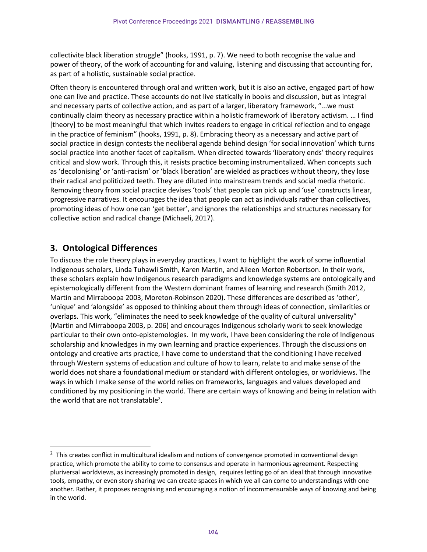collectivite black liberation struggle" (hooks, 1991, p. 7). We need to both recognise the value and power of theory, of the work of accounting for and valuing, listening and discussing that accounting for, as part of a holistic, sustainable social practice.

Often theory is encountered through oral and written work, but it is also an active, engaged part of how one can live and practice. These accounts do not live statically in books and discussion, but as integral and necessary parts of collective action, and as part of a larger, liberatory framework, "...we must continually claim theory as necessary practice within a holistic framework of liberatory activism. … I find [theory] to be most meaningful that which invites readers to engage in critical reflection and to engage in the practice of feminism" (hooks, 1991, p. 8). Embracing theory as a necessary and active part of social practice in design contests the neoliberal agenda behind design 'for social innovation' which turns social practice into another facet of capitalism. When directed towards 'liberatory ends' theory requires critical and slow work. Through this, it resists practice becoming instrumentalized. When concepts such as 'decolonising' or 'anti-racism' or 'black liberation' are wielded as practices without theory, they lose their radical and politicized teeth. They are diluted into mainstream trends and social media rhetoric. Removing theory from social practice devises 'tools' that people can pick up and 'use' constructs linear, progressive narratives. It encourages the idea that people can act as individuals rather than collectives, promoting ideas of how one can 'get better', and ignores the relationships and structures necessary for collective action and radical change (Michaeli, 2017).

### **3. Ontological Differences**

To discuss the role theory plays in everyday practices, I want to highlight the work of some influential Indigenous scholars, Linda Tuhawli Smith, Karen Martin, and Aileen Morten Robertson. In their work, these scholars explain how Indigenous research paradigms and knowledge systems are ontologically and epistemologically different from the Western dominant frames of learning and research (Smith 2012, Martin and Mirraboopa 2003, Moreton-Robinson 2020). These differences are described as 'other', 'unique' and 'alongside' as opposed to thinking about them through ideas of connection, similarities or overlaps. This work, "eliminates the need to seek knowledge of the quality of cultural universality" (Martin and Mirraboopa 2003, p. 206) and encourages Indigenous scholarly work to seek knowledge particular to their own onto-epistemologies. In my work, I have been considering the role of Indigenous scholarship and knowledges in my own learning and practice experiences. Through the discussions on ontology and creative arts practice, I have come to understand that the conditioning I have received through Western systems of education and culture of how to learn, relate to and make sense of the world does not share a foundational medium or standard with different ontologies, or worldviews. The ways in which I make sense of the world relies on frameworks, languages and values developed and conditioned by my positioning in the world. There are certain ways of knowing and being in relation with the world that are not translatable<sup>2</sup>.

 $2$  This creates conflict in multicultural idealism and notions of convergence promoted in conventional design practice, which promote the ability to come to consensus and operate in harmonious agreement. Respecting pluriversal worldviews, as increasingly promoted in design, requires letting go of an ideal that through innovative tools, empathy, or even story sharing we can create spaces in which we all can come to understandings with one another. Rather, it proposes recognising and encouraging a notion of incommensurable ways of knowing and being in the world.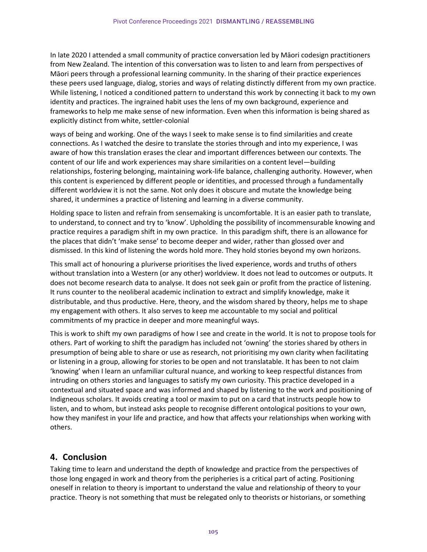In late 2020 I attended a small community of practice conversation led by Māori codesign practitioners from New Zealand. The intention of this conversation was to listen to and learn from perspectives of Māori peers through a professional learning community. In the sharing of their practice experiences these peers used language, dialog, stories and ways of relating distinctly different from my own practice. While listening, I noticed a conditioned pattern to understand this work by connecting it back to my own identity and practices. The ingrained habit uses the lens of my own background, experience and frameworks to help me make sense of new information. Even when this information is being shared as explicitly distinct from white, settler-colonial

ways of being and working. One of the ways I seek to make sense is to find similarities and create connections. As I watched the desire to translate the stories through and into my experience, I was aware of how this translation erases the clear and important differences between our contexts. The content of our life and work experiences may share similarities on a content level—building relationships, fostering belonging, maintaining work-life balance, challenging authority. However, when this content is experienced by different people or identities, and processed through a fundamentally different worldview it is not the same. Not only does it obscure and mutate the knowledge being shared, it undermines a practice of listening and learning in a diverse community.

Holding space to listen and refrain from sensemaking is uncomfortable. It is an easier path to translate, to understand, to connect and try to 'know'. Upholding the possibility of incommensurable knowing and practice requires a paradigm shift in my own practice. In this paradigm shift, there is an allowance for the places that didn't 'make sense' to become deeper and wider, rather than glossed over and dismissed. In this kind of listening the words hold more. They hold stories beyond my own horizons.

This small act of honouring a pluriverse prioritises the lived experience, words and truths of others without translation into a Western (or any other) worldview. It does not lead to outcomes or outputs. It does not become research data to analyse. It does not seek gain or profit from the practice of listening. It runs counter to the neoliberal academic inclination to extract and simplify knowledge, make it distributable, and thus productive. Here, theory, and the wisdom shared by theory, helps me to shape my engagement with others. It also serves to keep me accountable to my social and political commitments of my practice in deeper and more meaningful ways.

This is work to shift my own paradigms of how I see and create in the world. It is not to propose tools for others. Part of working to shift the paradigm has included not 'owning' the stories shared by others in presumption of being able to share or use as research, not prioritising my own clarity when facilitating or listening in a group, allowing for stories to be open and not translatable. It has been to not claim 'knowing' when I learn an unfamiliar cultural nuance, and working to keep respectful distances from intruding on others stories and languages to satisfy my own curiosity. This practice developed in a contextual and situated space and was informed and shaped by listening to the work and positioning of Indigneous scholars. It avoids creating a tool or maxim to put on a card that instructs people how to listen, and to whom, but instead asks people to recognise different ontological positions to your own, how they manifest in your life and practice, and how that affects your relationships when working with others.

### **4. Conclusion**

Taking time to learn and understand the depth of knowledge and practice from the perspectives of those long engaged in work and theory from the peripheries is a critical part of acting. Positioning oneself in relation to theory is important to understand the value and relationship of theory to your practice. Theory is not something that must be relegated only to theorists or historians, or something